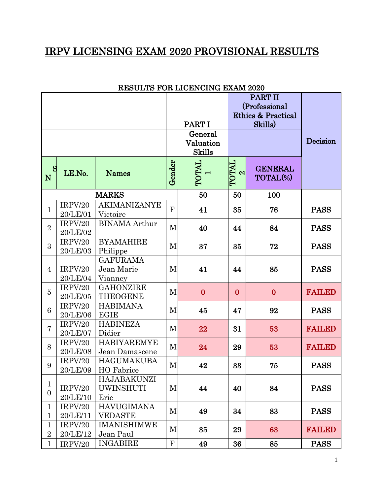## IRPV LICENSING EXAM 2020 PROVISIONAL RESULTS

|                                |                     |                                          |                | PART II<br>(Professional<br><b>Ethics &amp; Practical</b><br>PART I<br>Skills)<br>General<br>Valuation |                 | Decision                   |               |
|--------------------------------|---------------------|------------------------------------------|----------------|--------------------------------------------------------------------------------------------------------|-----------------|----------------------------|---------------|
|                                |                     |                                          | <b>Skills</b>  |                                                                                                        |                 |                            |               |
| S<br>N                         | LE.No.              | <b>Names</b>                             | Gender         | TOTAL<br>$\overline{\phantom{0}}$                                                                      | TOTAL<br>$\sim$ | <b>GENERAL</b><br>TOTAL(%) |               |
|                                |                     | <b>MARKS</b><br>50<br>50<br>100          |                |                                                                                                        |                 |                            |               |
| $\mathbf{1}$                   | IRPV/20<br>20/LE/01 | <b>AKIMANIZANYE</b><br>Victoire          | $\overline{F}$ | 41                                                                                                     | 35              | 76                         | <b>PASS</b>   |
| $\overline{2}$                 | IRPV/20<br>20/LE/02 | <b>BINAMA</b> Arthur                     | M              | 40                                                                                                     | 44              | 84                         | <b>PASS</b>   |
| 3                              | IRPV/20<br>20/LE/03 | <b>BYAMAHIRE</b><br>Philippe             | M              | 37                                                                                                     | 35              | 72                         | <b>PASS</b>   |
| $\overline{4}$                 | IRPV/20<br>20/LE/04 | <b>GAFURAMA</b><br>Jean Marie<br>Vianney | M              | 41                                                                                                     | 44              | 85                         | <b>PASS</b>   |
| $\overline{5}$                 | IRPV/20<br>20/LE/05 | <b>GAHONZIRE</b><br><b>THEOGENE</b>      | M              | $\bf{0}$                                                                                               | $\bf{0}$        | $\bf{0}$                   | <b>FAILED</b> |
| 6                              | IRPV/20<br>20/LE/06 | <b>HABIMANA</b><br><b>EGIE</b>           | M              | 45                                                                                                     | 47              | 92                         | <b>PASS</b>   |
| $\overline{7}$                 | IRPV/20<br>20/LE/07 | <b>HABINEZA</b><br>Didier                | M              | 22                                                                                                     | 31              | 53                         | <b>FAILED</b> |
| 8                              | IRPV/20<br>20/LE/08 | <b>HABIYAREMYE</b><br>Jean Damascene     | M              | 24                                                                                                     | 29              | 53                         | <b>FAILED</b> |
| 9                              | IRPV/20<br>20/LE/09 | <b>HAGUMAKUBA</b><br>HO Fabrice          | M              | 42                                                                                                     | 33              | 75                         | <b>PASS</b>   |
| $\mathbf{1}$<br>$\overline{0}$ | IRPV/20<br>20/LE/10 | HAJABAKUNZI<br><b>UWINSHUTI</b><br>Eric  | M              | 44                                                                                                     | 40              | 84                         | <b>PASS</b>   |
| $\mathbf 1$<br>$\mathbf{1}$    | IRPV/20<br>20/LE/11 | <b>HAVUGIMANA</b><br><b>VEDASTE</b>      | M              | 49                                                                                                     | 34              | 83                         | <b>PASS</b>   |
| $\mathbf{1}$<br>$\overline{2}$ | IRPV/20<br>20/LE/12 | <b>IMANISHIMWE</b><br>Jean Paul          | M              | 35                                                                                                     | 29              | 63                         | <b>FAILED</b> |
| $\mathbf{1}$                   | IRPV/20             | <b>INGABIRE</b>                          | $\mathbf F$    | 49                                                                                                     | 36              | 85                         | <b>PASS</b>   |

## RESULTS FOR LICENCING EXAM 2020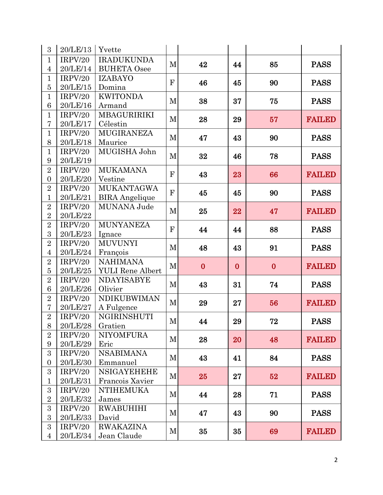| 3                   | 20/LE/13            | Yvette                   |              |          |          |          |               |  |
|---------------------|---------------------|--------------------------|--------------|----------|----------|----------|---------------|--|
| $\mathbf{1}$        | IRPV/20             | <b>IRADUKUNDA</b>        | M            | 42       | 44       | 85       | <b>PASS</b>   |  |
| $\overline{4}$      | 20/LE/14            | <b>BUHETA</b> Osee       |              |          |          |          |               |  |
| $\mathbf{1}$        | IRPV/20             | <b>IZABAYO</b>           | $\mathbf{F}$ | 46       | 45       | 90       | <b>PASS</b>   |  |
| $\overline{5}$      | 20/LE/15            | Domina                   |              |          |          |          |               |  |
| $\mathbf{1}$        | IRPV/20             | <b>KWITONDA</b>          | $\mathbf M$  | 38       | 37       | 75       | <b>PASS</b>   |  |
| 6                   | 20/LE/16            | Armand                   |              |          |          |          |               |  |
| $\mathbf{1}$        | IRPV/20             | MBAGURIRIKI              | M            | 28       | 29       | 57       | <b>FAILED</b> |  |
| 7                   | 20/LE/17            | Célestin                 |              |          |          |          |               |  |
| $\mathbf{1}$        | IRPV/20             | <b>MUGIRANEZA</b>        | $\mathbf M$  | 47       | 43       | 90       | <b>PASS</b>   |  |
| 8<br>$\mathbf{1}$   | 20/LE/18<br>IRPV/20 | Maurice<br>MUGISHA John  |              |          |          |          |               |  |
| $9\phantom{.}$      | 20/LE/19            |                          | $\mathbf M$  | 32       | 46       | 78       | <b>PASS</b>   |  |
| $\overline{2}$      | IRPV/20             | <b>MUKAMANA</b>          |              |          |          |          |               |  |
| $\overline{0}$      | 20/LE/20            | Vestine                  | $\mathbf{F}$ | 43       | 23       | 66       | <b>FAILED</b> |  |
| $\overline{2}$      | IRPV/20             | <b>MUKANTAGWA</b>        |              |          |          |          |               |  |
| $\mathbf{1}$        | 20/LE/21            | <b>BIRA</b> Angelique    | F            | 45       | 45       | 90       | <b>PASS</b>   |  |
| $\overline{2}$      | IRPV/20             | MUNANA Jude              |              |          |          |          |               |  |
| $\overline{2}$      | 20/LE/22            |                          | $\mathbf M$  | 25       | 22       | 47       | <b>FAILED</b> |  |
| $\overline{2}$      | IRPV/20             | <b>MUNYANEZA</b>         |              | 44       | 44       |          |               |  |
| 3                   | 20/LE/23            | Ignace                   | $\mathbf{F}$ |          |          | 88       | <b>PASS</b>   |  |
| $\overline{2}$      | IRPV/20             | <b>MUVUNYI</b>           | $\mathbf M$  | 48       | 43       | 91       | <b>PASS</b>   |  |
| $\overline{4}$      | 20/LE/24            | François                 |              |          |          |          |               |  |
| $\overline{2}$      | IRPV/20             | <b>NAHIMANA</b>          | M            | $\bf{0}$ | $\bf{0}$ | $\bf{0}$ | <b>FAILED</b> |  |
| $\overline{5}$      | 20/LE/25            | <b>YULI</b> Rene Albert  |              |          |          |          |               |  |
| $\overline{2}$      | IRPV/20             | <b>NDAYISABYE</b>        | M            | 43       | 31       | 74       | <b>PASS</b>   |  |
| 6                   | 20/LE/26            | Olivier                  |              |          |          |          |               |  |
| $\overline{2}$      | IRPV/20             | <b>NDIKUBWIMAN</b>       | $\mathbf{M}$ | 29       | 27       | 56       | <b>FAILED</b> |  |
| $\overline{7}$      | 20/LE/27            | A Fulgence               |              |          |          |          |               |  |
| $\overline{2}$      | IRPV/20             | NGIRINSHUTI              | M            | 44       | 29       | 72       | <b>PASS</b>   |  |
| $8\,$               | 20/LE/28            | Gratien                  |              |          |          |          |               |  |
| $\overline{2}$<br>9 | IRPV/20<br>20/LE/29 | <b>NIYOMFURA</b><br>Eric | M            | 28       | 20       | 48       | <b>FAILED</b> |  |
| 3                   | IRPV/20             | <b>NSABIMANA</b>         |              |          |          |          |               |  |
| $\overline{0}$      | 20/LE/30            | Emmanuel                 | M            | 43       | 41       | 84       | <b>PASS</b>   |  |
| 3                   | IRPV/20             | <b>NSIGAYEHEHE</b>       | M            | 25       | 27       | 52       |               |  |
| $\mathbf{1}$        | 20/LE/31            | Francois Xavier          |              |          |          |          | <b>FAILED</b> |  |
| 3                   | IRPV/20             | <b>NTIHEMUKA</b>         |              | 44       | 28       | 71       |               |  |
| $\overline{2}$      | 20/LE/32            | James                    | M            |          |          |          | <b>PASS</b>   |  |
| 3                   | IRPV/20             | RWABUHIHI                |              |          |          |          |               |  |
| $\boldsymbol{3}$    | 20/LE/33            | David                    | M            | 47       | 43       | 90       | <b>PASS</b>   |  |
| 3                   | IRPV/20             | <b>RWAKAZINA</b>         | M            | 35       | 35       |          | <b>FAILED</b> |  |
| $\overline{4}$      | 20/LE/34            | Jean Claude              |              |          |          | 69       |               |  |